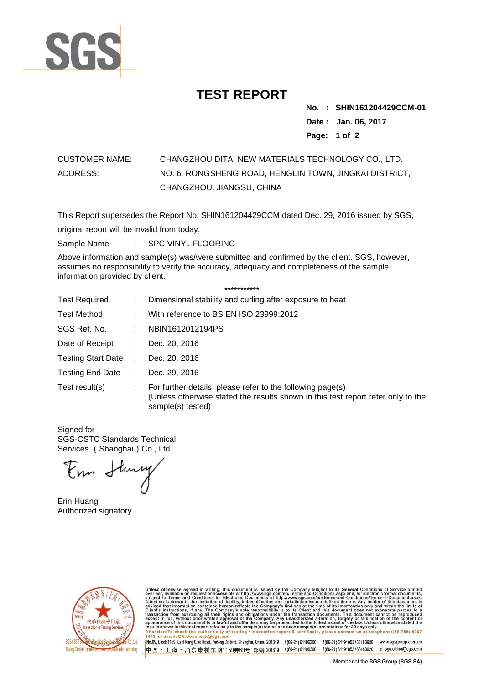

## **TEST REPORT**

**No. : .SHIN161204429CCM-01 Date : Jan. 06, 2017 Page: 1 of 2**

## CUSTOMER NAME: CHANGZHOU DITAI NEW MATERIALS TECHNOLOGY CO., LTD. ADDRESS: NO. 6, RONGSHENG ROAD, HENGLIN TOWN, JINGKAI DISTRICT, CHANGZHOU, JIANGSU, CHINA

This Report supersedes the Report No. SHIN161204429CCM dated Dec. 29, 2016 issued by SGS,

original report will be invalid from today.

Sample Name : SPC VINYL FLOORING

Above information and sample(s) was/were submitted and confirmed by the client. SGS, however, assumes no responsibility to verify the accuracy, adequacy and completeness of the sample information provided by client.

| ***********               |    |                                                                                                                                                                     |  |  |
|---------------------------|----|---------------------------------------------------------------------------------------------------------------------------------------------------------------------|--|--|
| <b>Test Required</b>      | ÷  | Dimensional stability and curling after exposure to heat                                                                                                            |  |  |
| <b>Test Method</b>        |    | With reference to BS EN ISO 23999:2012                                                                                                                              |  |  |
| SGS Ref. No.              |    | NBIN1612012194PS                                                                                                                                                    |  |  |
| Date of Receipt           | ÷. | Dec. 20, 2016                                                                                                                                                       |  |  |
| <b>Testing Start Date</b> | ÷  | Dec. 20, 2016                                                                                                                                                       |  |  |
| <b>Testing End Date</b>   |    | Dec. 29, 2016                                                                                                                                                       |  |  |
| Test result(s)            |    | For further details, please refer to the following page(s)<br>(Unless otherwise stated the results shown in this test report refer only to the<br>sample(s) tested) |  |  |

Signed for SGS-CSTC Standards Technical Services (Shanghai)Co., Ltd.

Enn Stury

Erin Huang Authorized signatory



Unless otherwise agreed in writing, this document is issued by the Company subject to its General Conditions of Service printed overleaf, available on request or accessible at http://www.sgs.com/en/Terms-and-Conditions.as

1No.69, Block 1159, East Kang Qiao Road, Pudong District, Shanghai, China. 201319 t(86-21) 61196300 f(86-21) 61191853/68183920 www.sgsgroup.com.cn 中国·上海·浦东康桥东路1159弄69号 邮编:201319 t(86-21)61196300 f(86-21)61191853/68183920 e sgs.china@sgs.com